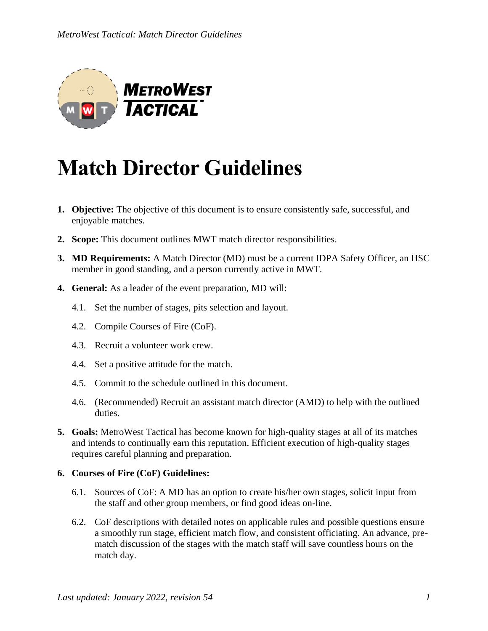

# **Match Director Guidelines**

- **1. Objective:** The objective of this document is to ensure consistently safe, successful, and enjoyable matches.
- **2. Scope:** This document outlines MWT match director responsibilities.
- **3. MD Requirements:** A Match Director (MD) must be a current IDPA Safety Officer, an HSC member in good standing, and a person currently active in MWT.
- **4. General:** As a leader of the event preparation, MD will:
	- 4.1. Set the number of stages, pits selection and layout.
	- 4.2. Compile Courses of Fire (CoF).
	- 4.3. Recruit a volunteer work crew.
	- 4.4. Set a positive attitude for the match.
	- 4.5. Commit to the schedule outlined in this document.
	- 4.6. (Recommended) Recruit an assistant match director (AMD) to help with the outlined duties.
- **5. Goals:** MetroWest Tactical has become known for high-quality stages at all of its matches and intends to continually earn this reputation. Efficient execution of high-quality stages requires careful planning and preparation.

### **6. Courses of Fire (CoF) Guidelines:**

- 6.1. Sources of CoF: A MD has an option to create his/her own stages, solicit input from the staff and other group members, or find good ideas on-line.
- 6.2. CoF descriptions with detailed notes on applicable rules and possible questions ensure a smoothly run stage, efficient match flow, and consistent officiating. An advance, prematch discussion of the stages with the match staff will save countless hours on the match day.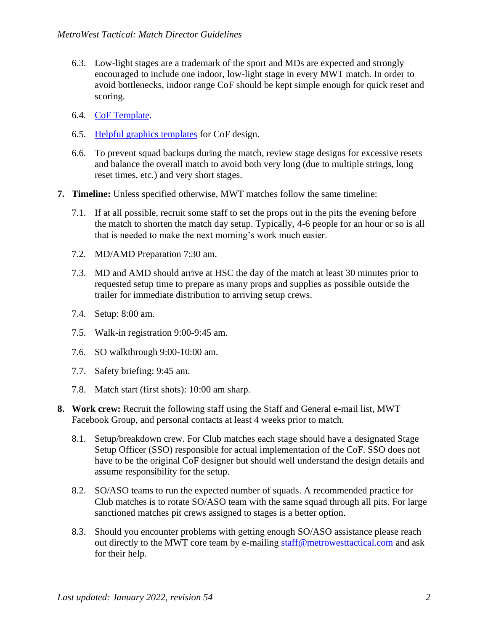- 6.3. Low-light stages are a trademark of the sport and MDs are expected and strongly encouraged to include one indoor, low-light stage in every MWT match. In order to avoid bottlenecks, indoor range CoF should be kept simple enough for quick reset and scoring.
- 6.4. [CoF Template.](https://metrowesttactical.com/wp-content/uploads/2022/01/MWT-stage-design-template.docx)
- 6.5. [Helpful graphics templates](https://metrowesttactical.com/wp-content/uploads/2022/01/MWT-props-template.doc) for CoF design.
- 6.6. To prevent squad backups during the match, review stage designs for excessive resets and balance the overall match to avoid both very long (due to multiple strings, long reset times, etc.) and very short stages.
- **7. Timeline:** Unless specified otherwise, MWT matches follow the same timeline:
	- 7.1. If at all possible, recruit some staff to set the props out in the pits the evening before the match to shorten the match day setup. Typically, 4-6 people for an hour or so is all that is needed to make the next morning's work much easier.
	- 7.2. MD/AMD Preparation 7:30 am.
	- 7.3. MD and AMD should arrive at HSC the day of the match at least 30 minutes prior to requested setup time to prepare as many props and supplies as possible outside the trailer for immediate distribution to arriving setup crews.
	- 7.4. Setup: 8:00 am.
	- 7.5. Walk-in registration 9:00-9:45 am.
	- 7.6. SO walkthrough 9:00-10:00 am.
	- 7.7. Safety briefing: 9:45 am.
	- 7.8. Match start (first shots): 10:00 am sharp.
- **8. Work crew:** Recruit the following staff using the Staff and General e-mail list, MWT Facebook Group, and personal contacts at least 4 weeks prior to match.
	- 8.1. Setup/breakdown crew. For Club matches each stage should have a designated Stage Setup Officer (SSO) responsible for actual implementation of the CoF. SSO does not have to be the original CoF designer but should well understand the design details and assume responsibility for the setup.
	- 8.2. SO/ASO teams to run the expected number of squads. A recommended practice for Club matches is to rotate SO/ASO team with the same squad through all pits. For large sanctioned matches pit crews assigned to stages is a better option.
	- 8.3. Should you encounter problems with getting enough SO/ASO assistance please reach out directly to the MWT core team by e-mailing [staff@metrowesttactical.com](mailto:staff@metrowesttactical.com) and ask for their help.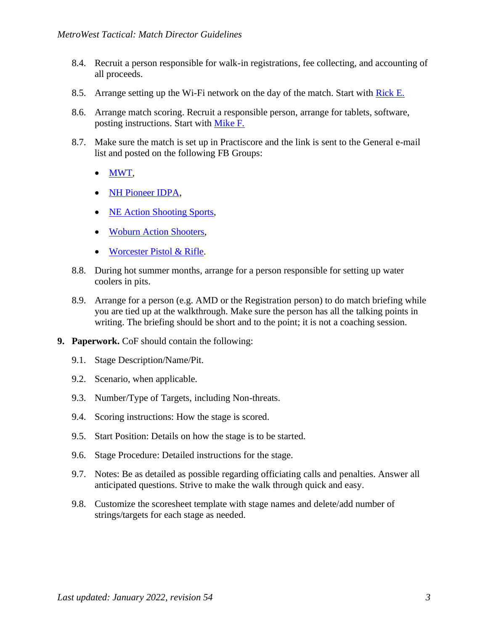- 8.4. Recruit a person responsible for walk-in registrations, fee collecting, and accounting of all proceeds.
- 8.5. Arrange setting up the Wi-Fi network on the day of the match. Start with [Rick E.](mailto:ricke@metrowesttactical.com)
- 8.6. Arrange match scoring. Recruit a responsible person, arrange for tablets, software, posting instructions. Start with [Mike F.](mailto:mikef@metrowesttactical.com)
- 8.7. Make sure the match is set up in Practiscore and the link is sent to the General e-mail list and posted on the following FB Groups:
	- [MWT,](https://www.facebook.com/groups/372704442746478)
	- [NH Pioneer IDPA,](https://www.facebook.com/groups/226625097507554)
	- [NE Action Shooting Sports,](https://www.facebook.com/groups/1438347846414475/)
	- [Woburn Action Shooters,](https://www.facebook.com/groups/woburnactionshooters/)
	- [Worcester Pistol & Rifle.](https://groups.io/g/wprc-idpa)
- 8.8. During hot summer months, arrange for a person responsible for setting up water coolers in pits.
- 8.9. Arrange for a person (e.g. AMD or the Registration person) to do match briefing while you are tied up at the walkthrough. Make sure the person has all the talking points in writing. The briefing should be short and to the point; it is not a coaching session.
- **9. Paperwork.** CoF should contain the following:
	- 9.1. Stage Description/Name/Pit.
	- 9.2. Scenario, when applicable.
	- 9.3. Number/Type of Targets, including Non-threats.
	- 9.4. Scoring instructions: How the stage is scored.
	- 9.5. Start Position: Details on how the stage is to be started.
	- 9.6. Stage Procedure: Detailed instructions for the stage.
	- 9.7. Notes: Be as detailed as possible regarding officiating calls and penalties. Answer all anticipated questions. Strive to make the walk through quick and easy.
	- 9.8. Customize the scoresheet template with stage names and delete/add number of strings/targets for each stage as needed.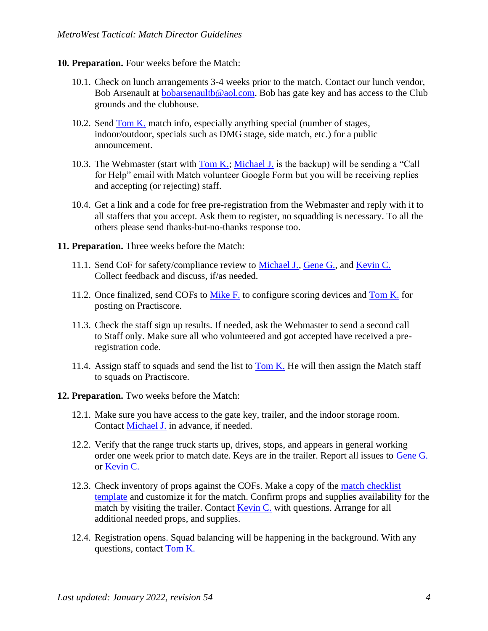#### **10. Preparation.** Four weeks before the Match:

- 10.1. Check on lunch arrangements 3-4 weeks prior to the match. Contact our lunch vendor, Bob Arsenault at [bobarsenaultb@aol.com.](mailto:bobarsenaultb@aol.com) Bob has gate key and has access to the Club grounds and the clubhouse.
- 10.2. Send [Tom K.](mailto:tomk@metrowesttactical.com) match info, especially anything special (number of stages, indoor/outdoor, specials such as DMG stage, side match, etc.) for a public announcement.
- 10.3. The Webmaster (start with  $\underline{\text{Tom K}}$ .; [Michael J.](mailto:michaelj@metrowesttactical.com) is the backup) will be sending a "Call for Help" email with Match volunteer Google Form but you will be receiving replies and accepting (or rejecting) staff.
- 10.4. Get a link and a code for free pre-registration from the Webmaster and reply with it to all staffers that you accept. Ask them to register, no squadding is necessary. To all the others please send thanks-but-no-thanks response too.
- **11. Preparation.** Three weeks before the Match:
	- 11.1. Send CoF for safety/compliance review to [Michael J.,](mailto:michaelj@metrowesttactical.com) [Gene G.,](mailto:geneg@metrowesttactical.com) and [Kevin C.](mailto:kevinc@metrowesttactical.com) Collect feedback and discuss, if/as needed.
	- 11.2. Once finalized, send COFs to [Mike F.](mailto:mikef@metrowesttactical.com) to configure scoring devices and [Tom K.](mailto:tomk@metrowesttactical.com) for posting on Practiscore.
	- 11.3. Check the staff sign up results. If needed, ask the Webmaster to send a second call to Staff only. Make sure all who volunteered and got accepted have received a preregistration code.
	- 11.4. Assign staff to squads and send the list to  $Tom K$ . He will then assign the Match staff</u> to squads on Practiscore.
- **12. Preparation.** Two weeks before the Match:
	- 12.1. Make sure you have access to the gate key, trailer, and the indoor storage room. Contact [Michael J.](mailto:michaelj@metrowesttactical.com) in advance, if needed.
	- 12.2. Verify that the range truck starts up, drives, stops, and appears in general working order one week prior to match date. Keys are in the trailer. Report all issues to [Gene G.](mailto:geneg@metrowesttactical.com) or [Kevin C.](mailto:kevinc@metrowesttactical.com)
	- 12.3. Check inventory of props against the COFs. Make a copy of the [match checklist](https://metrowesttactical.com/wp-content/uploads/2022/01/MWT-match-checklist-template.xls)  [template](https://metrowesttactical.com/wp-content/uploads/2022/01/MWT-match-checklist-template.xls) and customize it for the match. Confirm props and supplies availability for the match by visiting the trailer. Contact  $Kevin C$ , with questions. Arrange for all additional needed props, and supplies.
	- 12.4. Registration opens. Squad balancing will be happening in the background. With any questions, contact [Tom K.](mailto:tomk@metrowesttactical.com)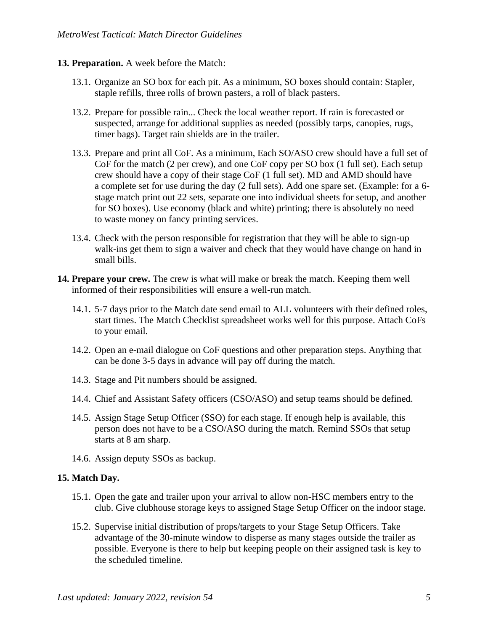#### **13. Preparation.** A week before the Match:

- 13.1. Organize an SO box for each pit. As a minimum, SO boxes should contain: Stapler, staple refills, three rolls of brown pasters, a roll of black pasters.
- 13.2. Prepare for possible rain... Check the local weather report. If rain is forecasted or suspected, arrange for additional supplies as needed (possibly tarps, canopies, rugs, timer bags). Target rain shields are in the trailer.
- 13.3. Prepare and print all CoF. As a minimum, Each SO/ASO crew should have a full set of CoF for the match (2 per crew), and one CoF copy per SO box (1 full set). Each setup crew should have a copy of their stage CoF (1 full set). MD and AMD should have a complete set for use during the day (2 full sets). Add one spare set. (Example: for a 6 stage match print out 22 sets, separate one into individual sheets for setup, and another for SO boxes). Use economy (black and white) printing; there is absolutely no need to waste money on fancy printing services.
- 13.4. Check with the person responsible for registration that they will be able to sign-up walk-ins get them to sign a waiver and check that they would have change on hand in small bills.
- **14. Prepare your crew.** The crew is what will make or break the match. Keeping them well informed of their responsibilities will ensure a well-run match.
	- 14.1. 5-7 days prior to the Match date send email to ALL volunteers with their defined roles, start times. The Match Checklist spreadsheet works well for this purpose. Attach CoFs to your email.
	- 14.2. Open an e-mail dialogue on CoF questions and other preparation steps. Anything that can be done 3-5 days in advance will pay off during the match.
	- 14.3. Stage and Pit numbers should be assigned.
	- 14.4. Chief and Assistant Safety officers (CSO/ASO) and setup teams should be defined.
	- 14.5. Assign Stage Setup Officer (SSO) for each stage. If enough help is available, this person does not have to be a CSO/ASO during the match. Remind SSOs that setup starts at 8 am sharp.
	- 14.6. Assign deputy SSOs as backup.

#### **15. Match Day.**

- 15.1. Open the gate and trailer upon your arrival to allow non-HSC members entry to the club. Give clubhouse storage keys to assigned Stage Setup Officer on the indoor stage.
- 15.2. Supervise initial distribution of props/targets to your Stage Setup Officers. Take advantage of the 30-minute window to disperse as many stages outside the trailer as possible. Everyone is there to help but keeping people on their assigned task is key to the scheduled timeline.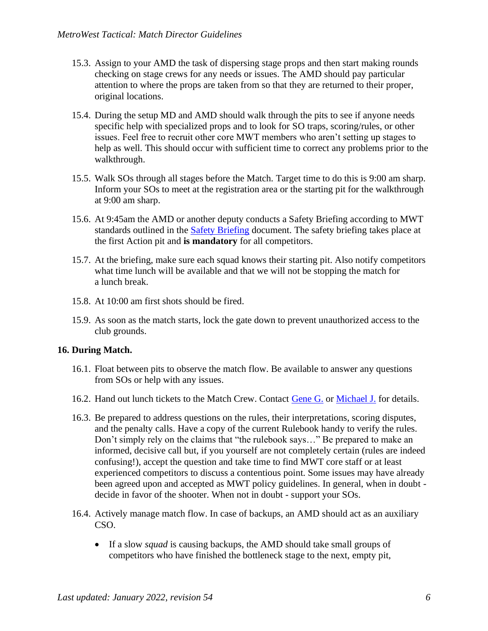- 15.3. Assign to your AMD the task of dispersing stage props and then start making rounds checking on stage crews for any needs or issues. The AMD should pay particular attention to where the props are taken from so that they are returned to their proper, original locations.
- 15.4. During the setup MD and AMD should walk through the pits to see if anyone needs specific help with specialized props and to look for SO traps, scoring/rules, or other issues. Feel free to recruit other core MWT members who aren't setting up stages to help as well. This should occur with sufficient time to correct any problems prior to the walkthrough.
- 15.5. Walk SOs through all stages before the Match. Target time to do this is 9:00 am sharp. Inform your SOs to meet at the registration area or the starting pit for the walkthrough at 9:00 am sharp.
- 15.6. At 9:45am the AMD or another deputy conducts a Safety Briefing according to MWT standards outlined in the [Safety Briefing](https://metrowesttactical.com/wp-content/uploads/2022/01/MWT-safety-briefing.pdf) document. The safety briefing takes place at the first Action pit and **is mandatory** for all competitors.
- 15.7. At the briefing, make sure each squad knows their starting pit. Also notify competitors what time lunch will be available and that we will not be stopping the match for a lunch break.
- 15.8. At 10:00 am first shots should be fired.
- 15.9. As soon as the match starts, lock the gate down to prevent unauthorized access to the club grounds.

#### **16. During Match.**

- 16.1. Float between pits to observe the match flow. Be available to answer any questions from SOs or help with any issues.
- 16.2. Hand out lunch tickets to the Match Crew. Contact [Gene G.](mailto:geneg@metrowesttactical.com) or [Michael J.](mailto:michaelj@metrowesttactical.com) for details.
- 16.3. Be prepared to address questions on the rules, their interpretations, scoring disputes, and the penalty calls. Have a copy of the current Rulebook handy to verify the rules. Don't simply rely on the claims that "the rulebook says…" Be prepared to make an informed, decisive call but, if you yourself are not completely certain (rules are indeed confusing!), accept the question and take time to find MWT core staff or at least experienced competitors to discuss a contentious point. Some issues may have already been agreed upon and accepted as MWT policy guidelines. In general, when in doubt decide in favor of the shooter. When not in doubt - support your SOs.
- 16.4. Actively manage match flow. In case of backups, an AMD should act as an auxiliary CSO.
	- If a slow *squad* is causing backups, the AMD should take small groups of competitors who have finished the bottleneck stage to the next, empty pit,